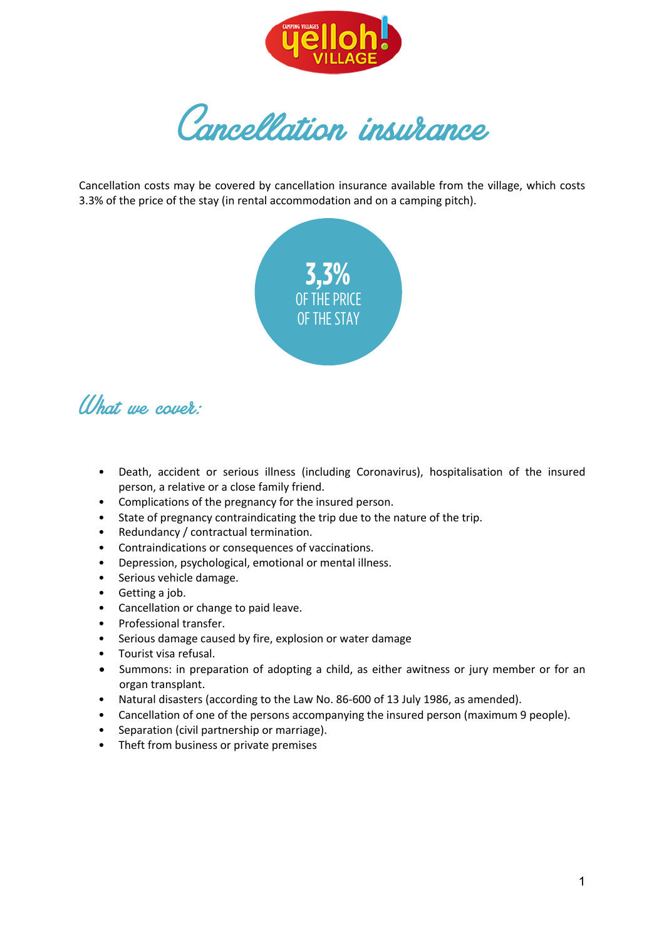

Cancellation insurance

Cancellation costs may be covered by cancellation insurance available from the village, which costs 3.3% of the price of the stay (in rental accommodation and on a camping pitch).



# (I)hat we cover:

- Death, accident or serious illness (including Coronavirus), hospitalisation of the insured person, a relative or a close family friend.
- Complications of the pregnancy for the insured person.
- State of pregnancy contraindicating the trip due to the nature of the trip.
- Redundancy / contractual termination.
- Contraindications or consequences of vaccinations.
- Depression, psychological, emotional or mental illness.
- Serious vehicle damage.
- Getting a job.
- Cancellation or change to paid leave.
- Professional transfer.
- Serious damage caused by fire, explosion or water damage
- Tourist visa refusal.
- Summons: in preparation of adopting a child, as either awitness or jury member or for an organ transplant.
- Natural disasters (according to the Law No. 86-600 of 13 July 1986, as amended).
- Cancellation of one of the persons accompanying the insured person (maximum 9 people).
- Separation (civil partnership or marriage).
- Theft from business or private premises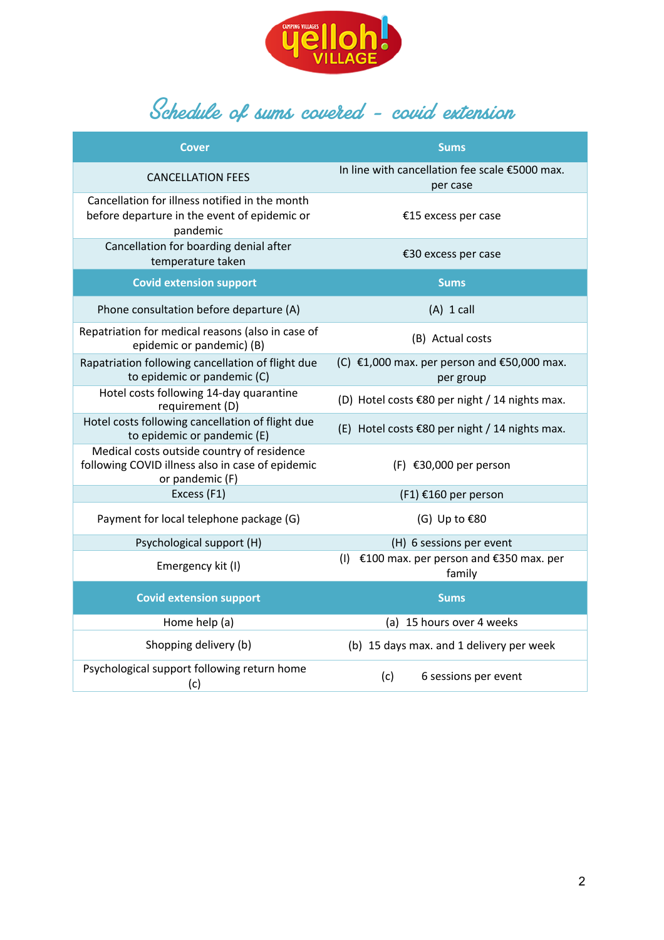

# Schedule of sums covered – covid extension

| <b>Cover</b>                                                                                                      | <b>Sums</b>                                                                  |
|-------------------------------------------------------------------------------------------------------------------|------------------------------------------------------------------------------|
| <b>CANCELLATION FEES</b>                                                                                          | In line with cancellation fee scale €5000 max.<br>per case                   |
| Cancellation for illness notified in the month<br>before departure in the event of epidemic or<br>pandemic        | €15 excess per case                                                          |
| Cancellation for boarding denial after<br>temperature taken                                                       | €30 excess per case                                                          |
| <b>Covid extension support</b>                                                                                    | <b>Sums</b>                                                                  |
| Phone consultation before departure (A)                                                                           | $(A)$ 1 call                                                                 |
| Repatriation for medical reasons (also in case of<br>epidemic or pandemic) (B)                                    | (B) Actual costs                                                             |
| Rapatriation following cancellation of flight due<br>to epidemic or pandemic (C)                                  | (C) $\epsilon$ 1,000 max. per person and $\epsilon$ 50,000 max.<br>per group |
| Hotel costs following 14-day quarantine<br>requirement (D)                                                        | (D) Hotel costs €80 per night / 14 nights max.                               |
| Hotel costs following cancellation of flight due<br>to epidemic or pandemic (E)                                   | (E) Hotel costs $\epsilon$ 80 per night / 14 nights max.                     |
| Medical costs outside country of residence<br>following COVID illness also in case of epidemic<br>or pandemic (F) | $(F)$ €30,000 per person                                                     |
| Excess (F1)                                                                                                       | (F1) €160 per person                                                         |
| Payment for local telephone package (G)                                                                           | (G) Up to $$80$                                                              |
| Psychological support (H)                                                                                         | (H) 6 sessions per event                                                     |
| Emergency kit (I)                                                                                                 | (I) $\epsilon$ 100 max. per person and $\epsilon$ 350 max. per<br>family     |
| <b>Covid extension support</b>                                                                                    | <b>Sums</b>                                                                  |
| Home help (a)                                                                                                     | (a) 15 hours over 4 weeks                                                    |
| Shopping delivery (b)                                                                                             | (b) 15 days max. and 1 delivery per week                                     |
| Psychological support following return home<br>(c)                                                                | (c)<br>6 sessions per event                                                  |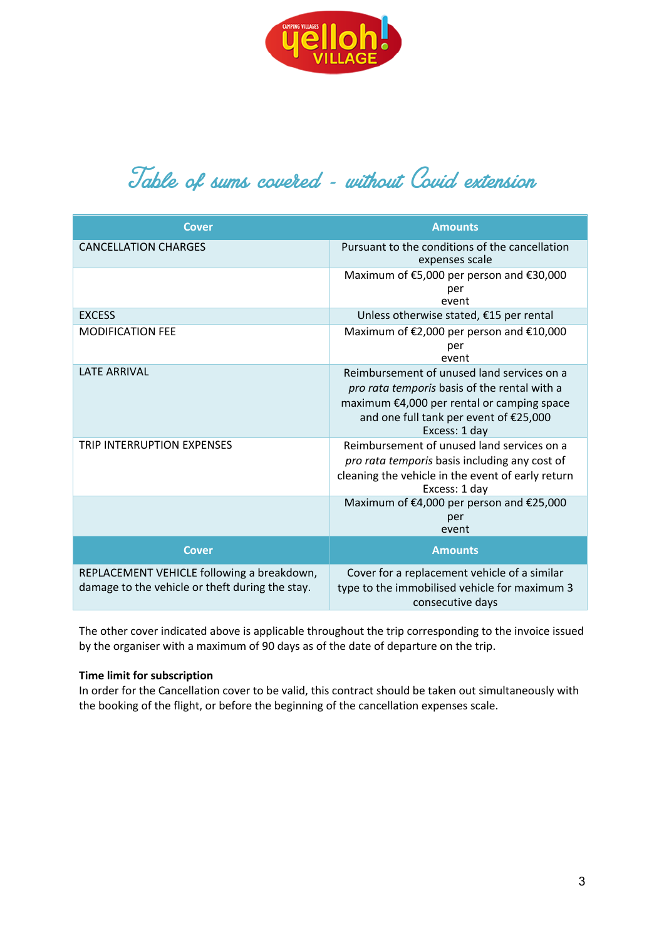

# Table of sums covered - without Covid extension

| <b>Cover</b>                                                                                  | <b>Amounts</b>                                                                                                                                                                                      |
|-----------------------------------------------------------------------------------------------|-----------------------------------------------------------------------------------------------------------------------------------------------------------------------------------------------------|
| <b>CANCELLATION CHARGES</b>                                                                   | Pursuant to the conditions of the cancellation<br>expenses scale                                                                                                                                    |
|                                                                                               | Maximum of €5,000 per person and €30,000<br>per<br>event                                                                                                                                            |
| <b>EXCESS</b>                                                                                 | Unless otherwise stated, €15 per rental                                                                                                                                                             |
| <b>MODIFICATION FEE</b>                                                                       | Maximum of €2,000 per person and €10,000<br>per<br>event                                                                                                                                            |
| <b>LATE ARRIVAL</b>                                                                           | Reimbursement of unused land services on a<br>pro rata temporis basis of the rental with a<br>maximum €4,000 per rental or camping space<br>and one full tank per event of €25,000<br>Excess: 1 day |
| <b>TRIP INTERRUPTION EXPENSES</b>                                                             | Reimbursement of unused land services on a<br>pro rata temporis basis including any cost of<br>cleaning the vehicle in the event of early return<br>Excess: 1 day                                   |
|                                                                                               | Maximum of €4,000 per person and €25,000<br>per<br>event                                                                                                                                            |
| <b>Cover</b>                                                                                  | <b>Amounts</b>                                                                                                                                                                                      |
| REPLACEMENT VEHICLE following a breakdown,<br>damage to the vehicle or theft during the stay. | Cover for a replacement vehicle of a similar<br>type to the immobilised vehicle for maximum 3<br>consecutive days                                                                                   |

The other cover indicated above is applicable throughout the trip corresponding to the invoice issued by the organiser with a maximum of 90 days as of the date of departure on the trip.

# **Time limit for subscription**

In order for the Cancellation cover to be valid, this contract should be taken out simultaneously with the booking of the flight, or before the beginning of the cancellation expenses scale.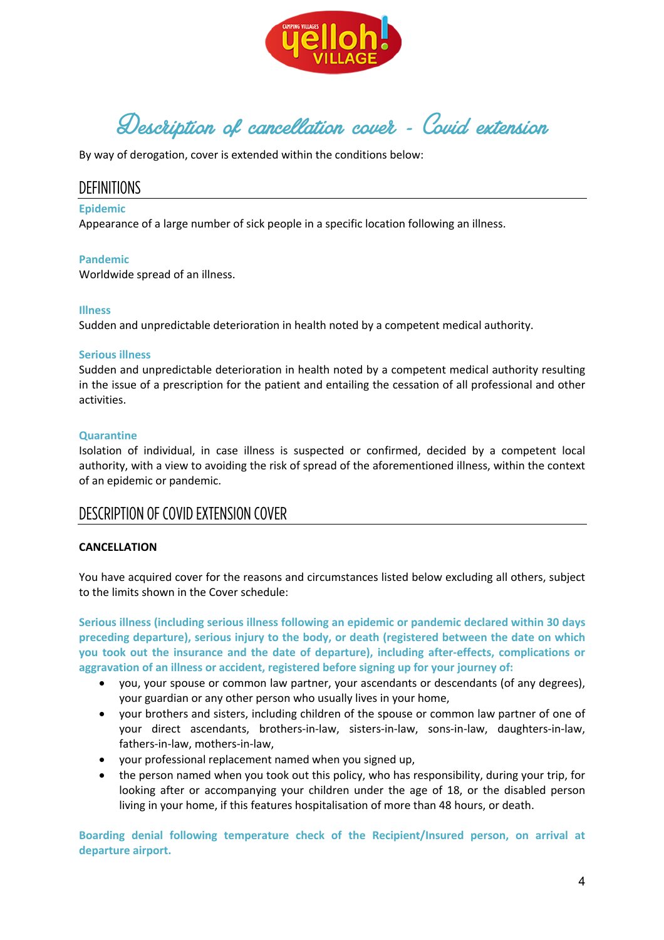

Description of cancellation cover - Covid extension

By way of derogation, cover is extended within the conditions below:

# DEFINITIONS

#### **Epidemic**

Appearance of a large number of sick people in a specific location following an illness.

#### **Pandemic**

Worldwide spread of an illness.

#### **Illness**

Sudden and unpredictable deterioration in health noted by a competent medical authority.

#### **Serious illness**

Sudden and unpredictable deterioration in health noted by a competent medical authority resulting in the issue of a prescription for the patient and entailing the cessation of all professional and other activities.

#### **Quarantine**

Isolation of individual, in case illness is suspected or confirmed, decided by a competent local authority, with a view to avoiding the risk of spread of the aforementioned illness, within the context of an epidemic or pandemic.

# DESCRIPTION OF COVID EXTENSION COVER

# **CANCELLATION**

You have acquired cover for the reasons and circumstances listed below excluding all others, subject to the limits shown in the Cover schedule:

**Serious illness (including serious illness following an epidemic or pandemic declared within 30 days preceding departure), serious injury to the body, or death (registered between the date on which you took out the insurance and the date of departure), including after-effects, complications or aggravation of an illness or accident, registered before signing up for your journey of:**

- you, your spouse or common law partner, your ascendants or descendants (of any degrees), your guardian or any other person who usually lives in your home,
- your brothers and sisters, including children of the spouse or common law partner of one of your direct ascendants, brothers-in-law, sisters-in-law, sons-in-law, daughters-in-law, fathers-in-law, mothers-in-law,
- your professional replacement named when you signed up,
- the person named when you took out this policy, who has responsibility, during your trip, for looking after or accompanying your children under the age of 18, or the disabled person living in your home, if this features hospitalisation of more than 48 hours, or death.

**Boarding denial following temperature check of the Recipient/Insured person, on arrival at departure airport.**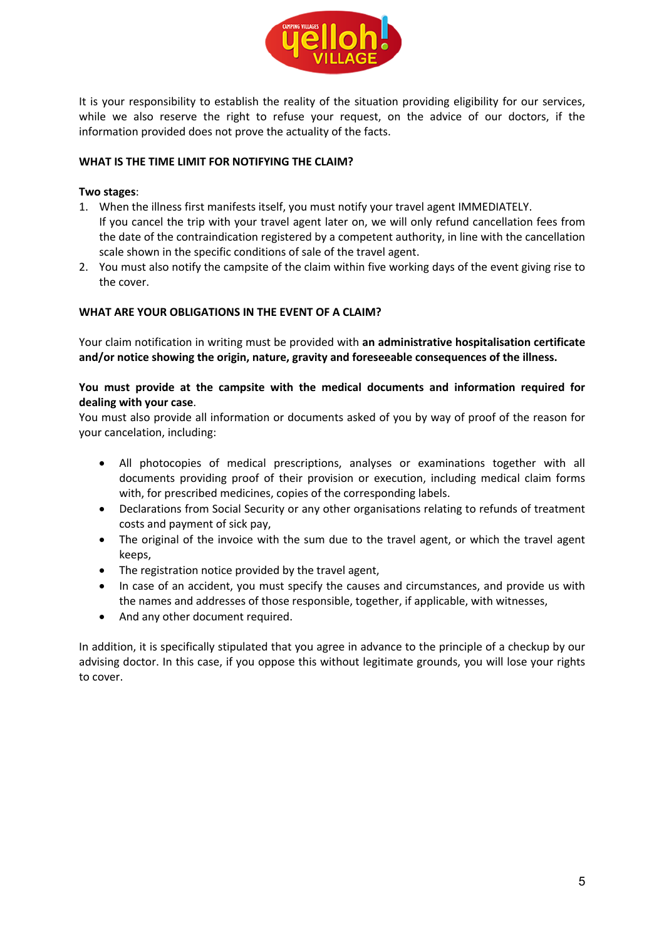

It is your responsibility to establish the reality of the situation providing eligibility for our services, while we also reserve the right to refuse your request, on the advice of our doctors, if the information provided does not prove the actuality of the facts.

# **WHAT IS THE TIME LIMIT FOR NOTIFYING THE CLAIM?**

# **Two stages**:

- 1. When the illness first manifests itself, you must notify your travel agent IMMEDIATELY. If you cancel the trip with your travel agent later on, we will only refund cancellation fees from the date of the contraindication registered by a competent authority, in line with the cancellation scale shown in the specific conditions of sale of the travel agent.
- 2. You must also notify the campsite of the claim within five working days of the event giving rise to the cover.

# **WHAT ARE YOUR OBLIGATIONS IN THE EVENT OF A CLAIM?**

Your claim notification in writing must be provided with **an administrative hospitalisation certificate and/or notice showing the origin, nature, gravity and foreseeable consequences of the illness.**

# **You must provide at the campsite with the medical documents and information required for dealing with your case**.

You must also provide all information or documents asked of you by way of proof of the reason for your cancelation, including:

- All photocopies of medical prescriptions, analyses or examinations together with all documents providing proof of their provision or execution, including medical claim forms with, for prescribed medicines, copies of the corresponding labels.
- Declarations from Social Security or any other organisations relating to refunds of treatment costs and payment of sick pay,
- The original of the invoice with the sum due to the travel agent, or which the travel agent keeps,
- The registration notice provided by the travel agent,
- In case of an accident, you must specify the causes and circumstances, and provide us with the names and addresses of those responsible, together, if applicable, with witnesses,
- And any other document required.

In addition, it is specifically stipulated that you agree in advance to the principle of a checkup by our advising doctor. In this case, if you oppose this without legitimate grounds, you will lose your rights to cover.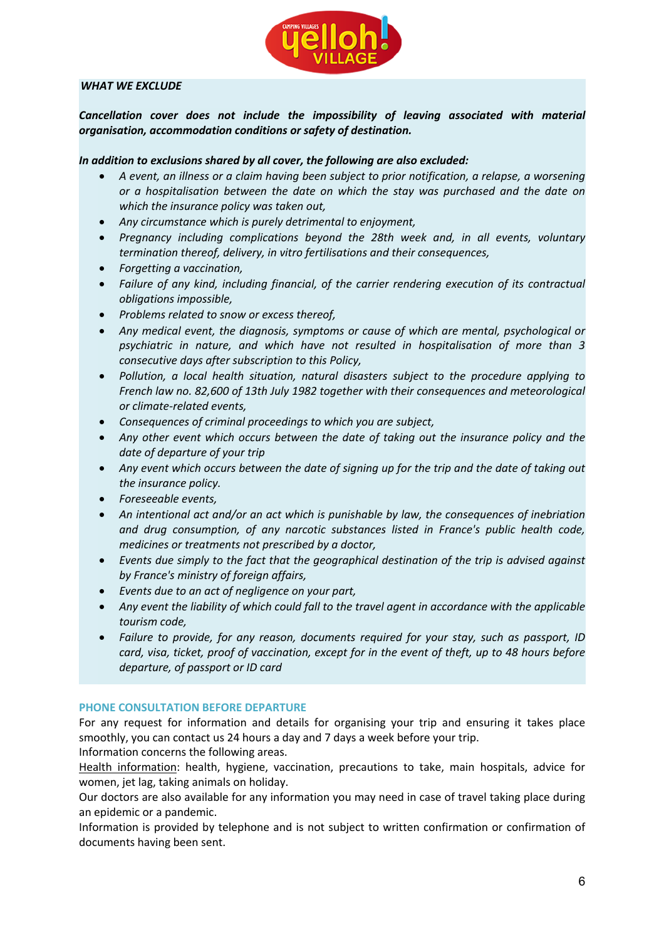

# *WHAT WE EXCLUDE*

Cancellation cover does not include the impossibility of leaving associated with material *organisation, accommodation conditions or safety of destination.*

# *In addition to exclusions shared by all cover, the following are also excluded:*

- *A event, an illness or a claim having been subject to prior notification, a relapse, a worsening or a hospitalisation between the date on which the stay was purchased and the date on which the insurance policy was taken out,*
- *Any circumstance which is purely detrimental to enjoyment,*
- *Pregnancy including complications beyond the 28th week and, in all events, voluntary termination thereof, delivery, in vitro fertilisations and their consequences,*
- *Forgetting a vaccination,*
- *Failure of any kind, including financial, of the carrier rendering execution of its contractual obligations impossible,*
- *Problems related to snow or excess thereof,*
- *Any medical event, the diagnosis, symptoms or cause of which are mental, psychological or psychiatric in nature, and which have not resulted in hospitalisation of more than 3 consecutive days after subscription to this Policy,*
- *Pollution, a local health situation, natural disasters subject to the procedure applying to French law no. 82,600 of 13th July 1982 together with their consequences and meteorological or climate-related events,*
- *Consequences of criminal proceedings to which you are subject,*
- *Any other event which occurs between the date of taking out the insurance policy and the date of departure of your trip*
- Any event which occurs between the date of signing up for the trip and the date of taking out *the insurance policy.*
- *Foreseeable events,*
- *An intentional act and/or an act which is punishable by law, the consequences of inebriation and drug consumption, of any narcotic substances listed in France's public health code, medicines or treatments not prescribed by a doctor,*
- *Events due simply to the fact that the geographical destination of the trip is advised against by France's ministry of foreign affairs,*
- *Events due to an act of negligence on your part,*
- *Any event the liability of which could fall to the travel agent in accordance with the applicable tourism code,*
- *Failure to provide, for any reason, documents required for your stay, such as passport, ID card, visa, ticket, proof of vaccination, except for in the event of theft, up to 48 hours before departure, of passport or ID card*

# **PHONE CONSULTATION BEFORE DEPARTURE**

For any request for information and details for organising your trip and ensuring it takes place smoothly, you can contact us 24 hours a day and 7 days a week before your trip. Information concerns the following areas.

Health information: health, hygiene, vaccination, precautions to take, main hospitals, advice for women, jet lag, taking animals on holiday.

Our doctors are also available for any information you may need in case of travel taking place during an epidemic or a pandemic.

Information is provided by telephone and is not subject to written confirmation or confirmation of documents having been sent.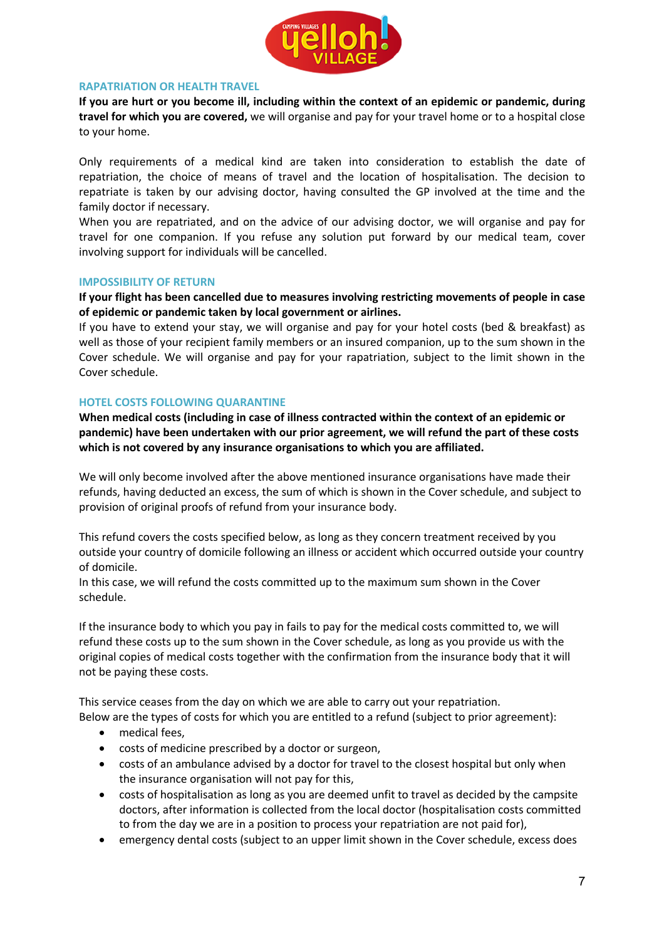

#### **RAPATRIATION OR HEALTH TRAVEL**

**If you are hurt or you become ill, including within the context of an epidemic or pandemic, during travel for which you are covered,** we will organise and pay for your travel home or to a hospital close to your home.

Only requirements of a medical kind are taken into consideration to establish the date of repatriation, the choice of means of travel and the location of hospitalisation. The decision to repatriate is taken by our advising doctor, having consulted the GP involved at the time and the family doctor if necessary.

When you are repatriated, and on the advice of our advising doctor, we will organise and pay for travel for one companion. If you refuse any solution put forward by our medical team, cover involving support for individuals will be cancelled.

#### **IMPOSSIBILITY OF RETURN**

**If your flight has been cancelled due to measures involving restricting movements of people in case of epidemic or pandemic taken by local government or airlines.** 

If you have to extend your stay, we will organise and pay for your hotel costs (bed & breakfast) as well as those of your recipient family members or an insured companion, up to the sum shown in the Cover schedule. We will organise and pay for your rapatriation, subject to the limit shown in the Cover schedule.

# **HOTEL COSTS FOLLOWING QUARANTINE**

**When medical costs (including in case of illness contracted within the context of an epidemic or pandemic) have been undertaken with our prior agreement, we will refund the part of these costs which is not covered by any insurance organisations to which you are affiliated.** 

We will only become involved after the above mentioned insurance organisations have made their refunds, having deducted an excess, the sum of which is shown in the Cover schedule, and subject to provision of original proofs of refund from your insurance body.

This refund covers the costs specified below, as long as they concern treatment received by you outside your country of domicile following an illness or accident which occurred outside your country of domicile.

In this case, we will refund the costs committed up to the maximum sum shown in the Cover schedule.

If the insurance body to which you pay in fails to pay for the medical costs committed to, we will refund these costs up to the sum shown in the Cover schedule, as long as you provide us with the original copies of medical costs together with the confirmation from the insurance body that it will not be paying these costs.

This service ceases from the day on which we are able to carry out your repatriation. Below are the types of costs for which you are entitled to a refund (subject to prior agreement):

- medical fees,
- costs of medicine prescribed by a doctor or surgeon,
- costs of an ambulance advised by a doctor for travel to the closest hospital but only when the insurance organisation will not pay for this,
- costs of hospitalisation as long as you are deemed unfit to travel as decided by the campsite doctors, after information is collected from the local doctor (hospitalisation costs committed to from the day we are in a position to process your repatriation are not paid for),
- emergency dental costs (subject to an upper limit shown in the Cover schedule, excess does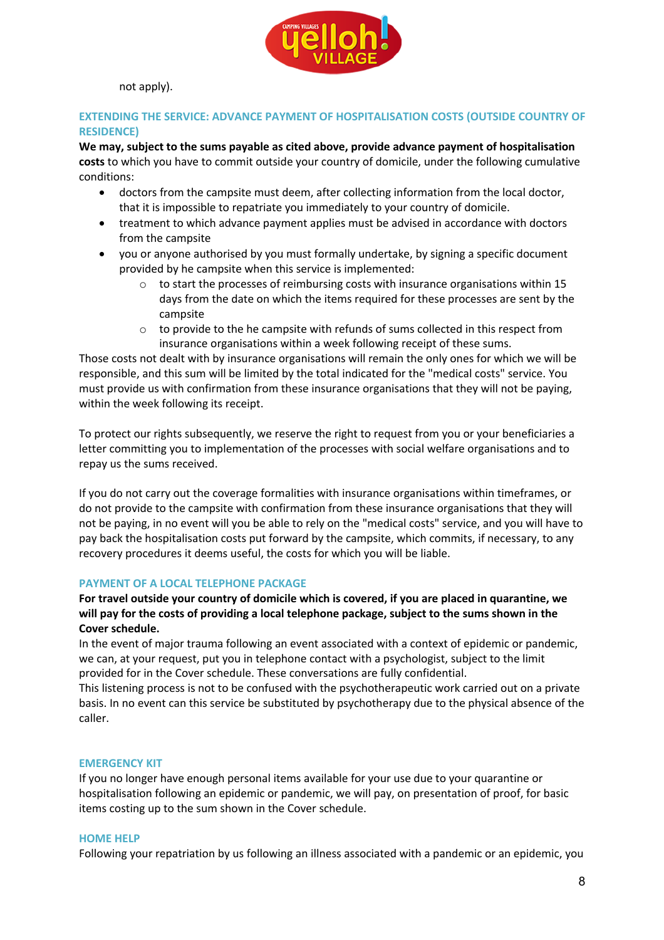

not apply).

# **EXTENDING THE SERVICE: ADVANCE PAYMENT OF HOSPITALISATION COSTS (OUTSIDE COUNTRY OF RESIDENCE)**

**We may, subject to the sums payable as cited above, provide advance payment of hospitalisation costs** to which you have to commit outside your country of domicile, under the following cumulative conditions:

- doctors from the campsite must deem, after collecting information from the local doctor, that it is impossible to repatriate you immediately to your country of domicile.
- treatment to which advance payment applies must be advised in accordance with doctors from the campsite
- you or anyone authorised by you must formally undertake, by signing a specific document provided by he campsite when this service is implemented:
	- $\circ$  to start the processes of reimbursing costs with insurance organisations within 15 days from the date on which the items required for these processes are sent by the campsite
	- $\circ$  to provide to the he campsite with refunds of sums collected in this respect from insurance organisations within a week following receipt of these sums.

Those costs not dealt with by insurance organisations will remain the only ones for which we will be responsible, and this sum will be limited by the total indicated for the "medical costs" service. You must provide us with confirmation from these insurance organisations that they will not be paying, within the week following its receipt.

To protect our rights subsequently, we reserve the right to request from you or your beneficiaries a letter committing you to implementation of the processes with social welfare organisations and to repay us the sums received.

If you do not carry out the coverage formalities with insurance organisations within timeframes, or do not provide to the campsite with confirmation from these insurance organisations that they will not be paying, in no event will you be able to rely on the "medical costs" service, and you will have to pay back the hospitalisation costs put forward by the campsite, which commits, if necessary, to any recovery procedures it deems useful, the costs for which you will be liable.

# **PAYMENT OF A LOCAL TELEPHONE PACKAGE**

# **For travel outside your country of domicile which is covered, if you are placed in quarantine, we will pay for the costs of providing a local telephone package, subject to the sums shown in the Cover schedule.**

In the event of major trauma following an event associated with a context of epidemic or pandemic, we can, at your request, put you in telephone contact with a psychologist, subject to the limit provided for in the Cover schedule. These conversations are fully confidential.

This listening process is not to be confused with the psychotherapeutic work carried out on a private basis. In no event can this service be substituted by psychotherapy due to the physical absence of the caller.

#### **EMERGENCY KIT**

If you no longer have enough personal items available for your use due to your quarantine or hospitalisation following an epidemic or pandemic, we will pay, on presentation of proof, for basic items costing up to the sum shown in the Cover schedule.

#### **HOME HELP**

Following your repatriation by us following an illness associated with a pandemic or an epidemic, you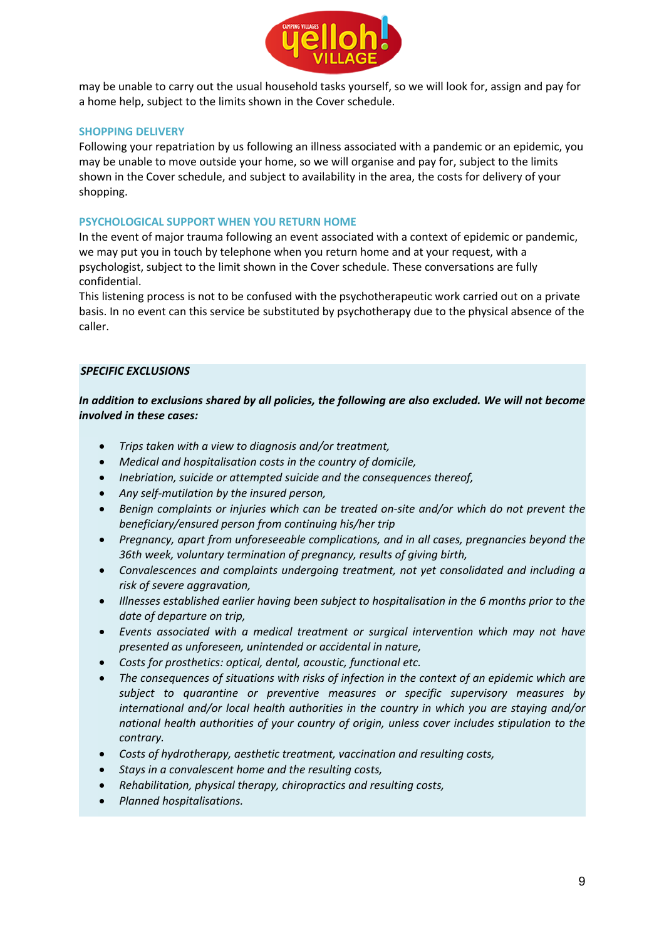

may be unable to carry out the usual household tasks yourself, so we will look for, assign and pay for a home help, subject to the limits shown in the Cover schedule.

# **SHOPPING DELIVERY**

Following your repatriation by us following an illness associated with a pandemic or an epidemic, you may be unable to move outside your home, so we will organise and pay for, subject to the limits shown in the Cover schedule, and subject to availability in the area, the costs for delivery of your shopping.

# **PSYCHOLOGICAL SUPPORT WHEN YOU RETURN HOME**

In the event of major trauma following an event associated with a context of epidemic or pandemic, we may put you in touch by telephone when you return home and at your request, with a psychologist, subject to the limit shown in the Cover schedule. These conversations are fully confidential.

This listening process is not to be confused with the psychotherapeutic work carried out on a private basis. In no event can this service be substituted by psychotherapy due to the physical absence of the caller.

# *SPECIFIC EXCLUSIONS*

*In addition to exclusions shared by all policies, the following are also excluded. We will not become involved in these cases:*

- *Trips taken with a view to diagnosis and/or treatment,*
- *Medical and hospitalisation costs in the country of domicile,*
- *Inebriation, suicide or attempted suicide and the consequences thereof,*
- *Any self-mutilation by the insured person,*
- *Benign complaints or injuries which can be treated on-site and/or which do not prevent the beneficiary/ensured person from continuing his/her trip*
- *Pregnancy, apart from unforeseeable complications, and in all cases, pregnancies beyond the 36th week, voluntary termination of pregnancy, results of giving birth,*
- *Convalescences and complaints undergoing treatment, not yet consolidated and including a risk of severe aggravation,*
- *Illnesses established earlier having been subject to hospitalisation in the 6 months prior to the date of departure on trip,*
- *Events associated with a medical treatment or surgical intervention which may not have presented as unforeseen, unintended or accidental in nature,*
- *Costs for prosthetics: optical, dental, acoustic, functional etc.*
- *The consequences of situations with risks of infection in the context of an epidemic which are subject to quarantine or preventive measures or specific supervisory measures by international and/or local health authorities in the country in which you are staying and/or national health authorities of your country of origin, unless cover includes stipulation to the contrary.*
- *Costs of hydrotherapy, aesthetic treatment, vaccination and resulting costs,*
- *Stays in a convalescent home and the resulting costs,*
- *Rehabilitation, physical therapy, chiropractics and resulting costs,*
- *Planned hospitalisations.*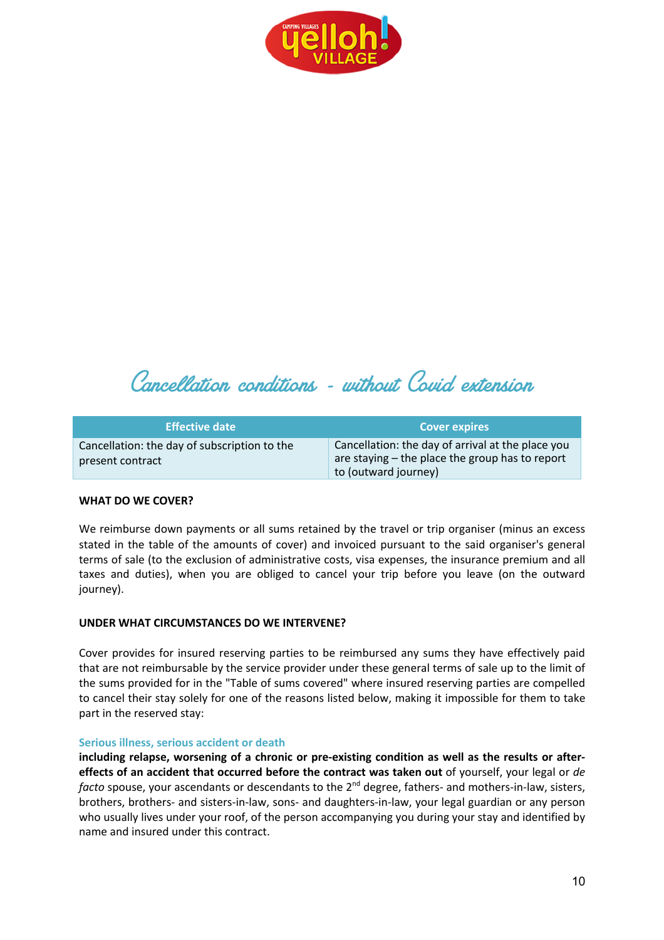



| <b>Effective date</b>                                            | <b>Cover expires</b>                                                                                                         |
|------------------------------------------------------------------|------------------------------------------------------------------------------------------------------------------------------|
| Cancellation: the day of subscription to the<br>present contract | Cancellation: the day of arrival at the place you<br>are staying – the place the group has to report<br>to (outward journey) |

# **WHAT DO WE COVER?**

We reimburse down payments or all sums retained by the travel or trip organiser (minus an excess stated in the table of the amounts of cover) and invoiced pursuant to the said organiser's general terms of sale (to the exclusion of administrative costs, visa expenses, the insurance premium and all taxes and duties), when you are obliged to cancel your trip before you leave (on the outward journey).

# **UNDER WHAT CIRCUMSTANCES DO WE INTERVENE?**

Cover provides for insured reserving parties to be reimbursed any sums they have effectively paid that are not reimbursable by the service provider under these general terms of sale up to the limit of the sums provided for in the "Table of sums covered" where insured reserving parties are compelled to cancel their stay solely for one of the reasons listed below, making it impossible for them to take part in the reserved stay:

#### **Serious illness, serious accident or death**

**including relapse, worsening of a chronic or pre-existing condition as well as the results or aftereffects of an accident that occurred before the contract was taken out** of yourself, your legal or *de facto* spouse, your ascendants or descendants to the 2<sup>nd</sup> degree, fathers- and mothers-in-law, sisters, brothers, brothers- and sisters-in-law, sons- and daughters-in-law, your legal guardian or any person who usually lives under your roof, of the person accompanying you during your stay and identified by name and insured under this contract.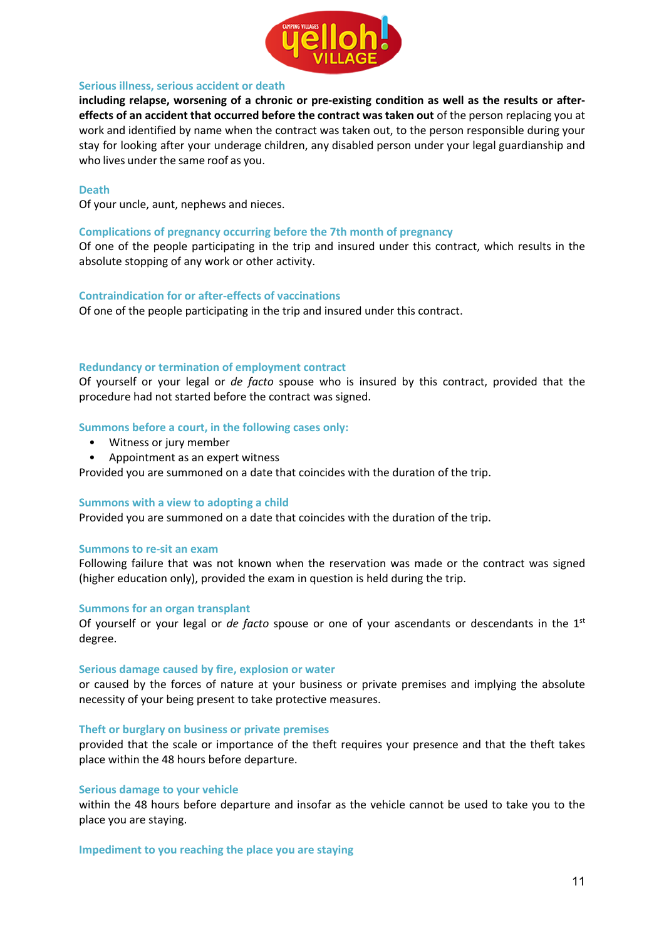

#### **Serious illness, serious accident or death**

**including relapse, worsening of a chronic or pre-existing condition as well as the results or aftereffects of an accident that occurred before the contract was taken out** of the person replacing you at work and identified by name when the contract was taken out, to the person responsible during your stay for looking after your underage children, any disabled person under your legal guardianship and who lives under the same roof as you.

#### **Death**

Of your uncle, aunt, nephews and nieces.

#### **Complications of pregnancy occurring before the 7th month of pregnancy**

Of one of the people participating in the trip and insured under this contract, which results in the absolute stopping of any work or other activity.

#### **Contraindication for or after-effects of vaccinations**

Of one of the people participating in the trip and insured under this contract.

#### **Redundancy or termination of employment contract**

Of yourself or your legal or *de facto* spouse who is insured by this contract, provided that the procedure had not started before the contract was signed.

#### **Summons before a court, in the following cases only:**

- Witness or jury member
- Appointment as an expert witness

Provided you are summoned on a date that coincides with the duration of the trip.

#### **Summons with a view to adopting a child**

Provided you are summoned on a date that coincides with the duration of the trip.

#### **Summons to re-sit an exam**

Following failure that was not known when the reservation was made or the contract was signed (higher education only), provided the exam in question is held during the trip.

#### **Summons for an organ transplant**

Of yourself or your legal or *de facto* spouse or one of your ascendants or descendants in the 1st degree.

#### **Serious damage caused by fire, explosion or water**

or caused by the forces of nature at your business or private premises and implying the absolute necessity of your being present to take protective measures.

#### **Theft or burglary on business or private premises**

provided that the scale or importance of the theft requires your presence and that the theft takes place within the 48 hours before departure.

#### **Serious damage to your vehicle**

within the 48 hours before departure and insofar as the vehicle cannot be used to take you to the place you are staying.

#### **Impediment to you reaching the place you are staying**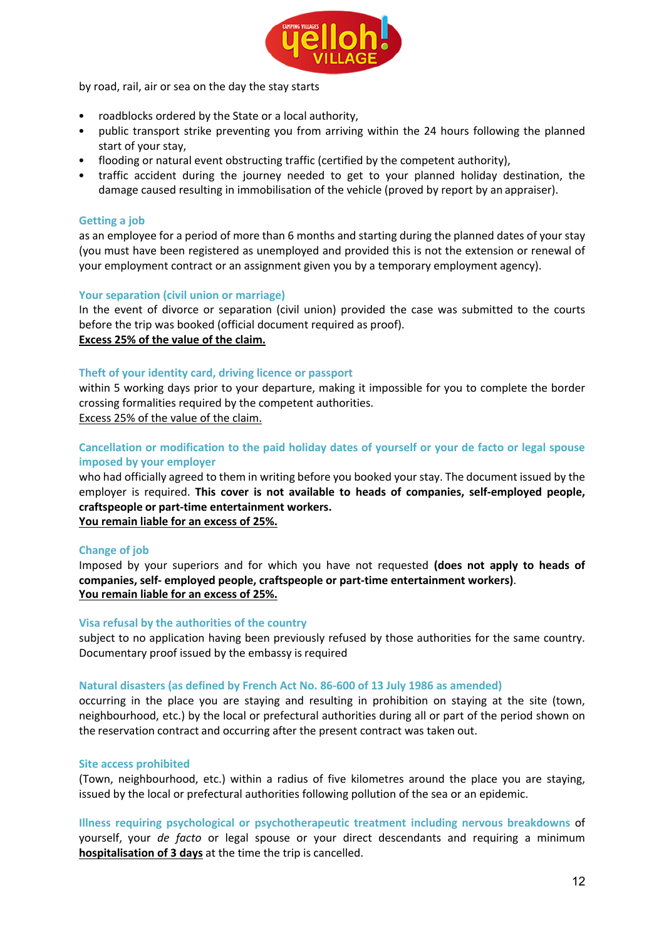

by road, rail, air or sea on the day the stay starts

- roadblocks ordered by the State or a local authority,
- public transport strike preventing you from arriving within the 24 hours following the planned start of your stay,
- flooding or natural event obstructing traffic (certified by the competent authority),
- traffic accident during the journey needed to get to your planned holiday destination, the damage caused resulting in immobilisation of the vehicle (proved by report by an appraiser).

# **Getting a job**

as an employee for a period of more than 6 months and starting during the planned dates of your stay (you must have been registered as unemployed and provided this is not the extension or renewal of your employment contract or an assignment given you by a temporary employment agency).

# **Your separation (civil union or marriage)**

In the event of divorce or separation (civil union) provided the case was submitted to the courts before the trip was booked (official document required as proof). **Excess 25% of the value of the claim.**

# **Theft of your identity card, driving licence or passport**

within 5 working days prior to your departure, making it impossible for you to complete the border crossing formalities required by the competent authorities.

Excess 25% of the value of the claim.

**Cancellation or modification to the paid holiday dates of yourself or your de facto or legal spouse imposed by your employer**

who had officially agreed to them in writing before you booked your stay. The document issued by the employer is required. **This cover is not available to heads of companies, self-employed people, craftspeople or part-time entertainment workers. You remain liable for an excess of 25%.**

# **Change of job**

Imposed by your superiors and for which you have not requested **(does not apply to heads of companies, self- employed people, craftspeople or part-time entertainment workers)**. **You remain liable for an excess of 25%.**

# **Visa refusal by the authorities of the country**

subject to no application having been previously refused by those authorities for the same country. Documentary proof issued by the embassy is required

# **Natural disasters (as defined by French Act No. 86-600 of 13 July 1986 as amended)**

occurring in the place you are staying and resulting in prohibition on staying at the site (town, neighbourhood, etc.) by the local or prefectural authorities during all or part of the period shown on the reservation contract and occurring after the present contract was taken out.

# **Site access prohibited**

(Town, neighbourhood, etc.) within a radius of five kilometres around the place you are staying, issued by the local or prefectural authorities following pollution of the sea or an epidemic.

**Illness requiring psychological or psychotherapeutic treatment including nervous breakdowns** of yourself, your *de facto* or legal spouse or your direct descendants and requiring a minimum **hospitalisation of 3 days** at the time the trip is cancelled.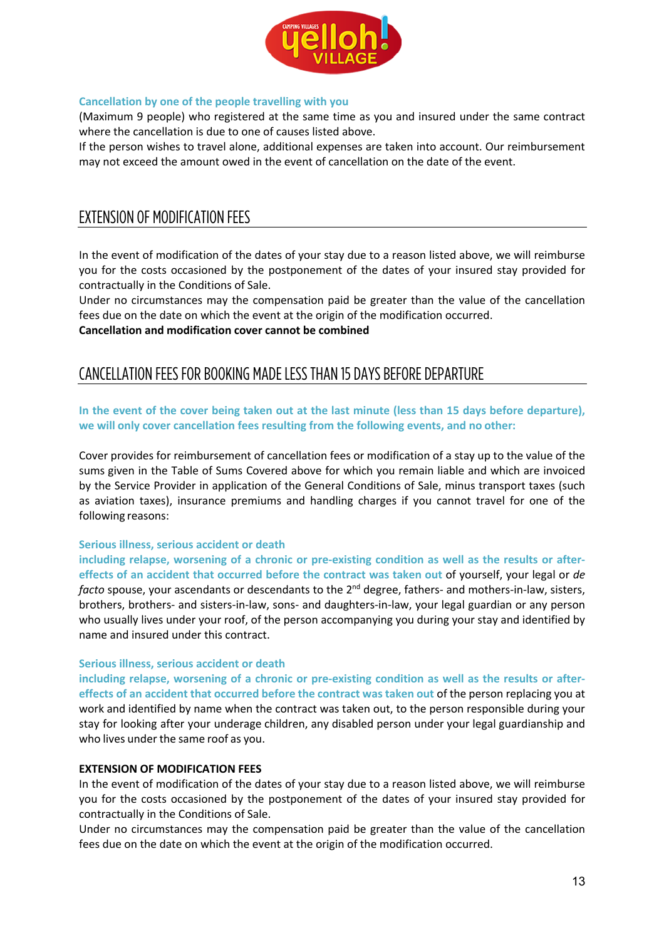

# **Cancellation by one of the people travelling with you**

(Maximum 9 people) who registered at the same time as you and insured under the same contract where the cancellation is due to one of causes listed above.

If the person wishes to travel alone, additional expenses are taken into account. Our reimbursement may not exceed the amount owed in the event of cancellation on the date of the event.

# EXTENSION OF MODIFICATION FEES

In the event of modification of the dates of your stay due to a reason listed above, we will reimburse you for the costs occasioned by the postponement of the dates of your insured stay provided for contractually in the Conditions of Sale.

Under no circumstances may the compensation paid be greater than the value of the cancellation fees due on the date on which the event at the origin of the modification occurred.

**Cancellation and modification cover cannot be combined**

# CANCELLATION FEES FOR BOOKING MADE LESS THAN 15 DAYS BEFORE DEPARTURE

In the event of the cover being taken out at the last minute (less than 15 days before departure), **we will only cover cancellation fees resulting from the following events, and no other:**

Cover provides for reimbursement of cancellation fees or modification of a stay up to the value of the sums given in the Table of Sums Covered above for which you remain liable and which are invoiced by the Service Provider in application of the General Conditions of Sale, minus transport taxes (such as aviation taxes), insurance premiums and handling charges if you cannot travel for one of the following reasons:

# **Serious illness, serious accident or death**

**including relapse, worsening of a chronic or pre-existing condition as well as the results or aftereffects of an accident that occurred before the contract was taken out** of yourself, your legal or *de facto* spouse, your ascendants or descendants to the 2<sup>nd</sup> degree, fathers- and mothers-in-law, sisters, brothers, brothers- and sisters-in-law, sons- and daughters-in-law, your legal guardian or any person who usually lives under your roof, of the person accompanying you during your stay and identified by name and insured under this contract.

# **Serious illness, serious accident or death**

**including relapse, worsening of a chronic or pre-existing condition as well as the results or aftereffects of an accident that occurred before the contract was taken out** of the person replacing you at work and identified by name when the contract was taken out, to the person responsible during your stay for looking after your underage children, any disabled person under your legal guardianship and who lives under the same roof as you.

# **EXTENSION OF MODIFICATION FEES**

In the event of modification of the dates of your stay due to a reason listed above, we will reimburse you for the costs occasioned by the postponement of the dates of your insured stay provided for contractually in the Conditions of Sale.

Under no circumstances may the compensation paid be greater than the value of the cancellation fees due on the date on which the event at the origin of the modification occurred.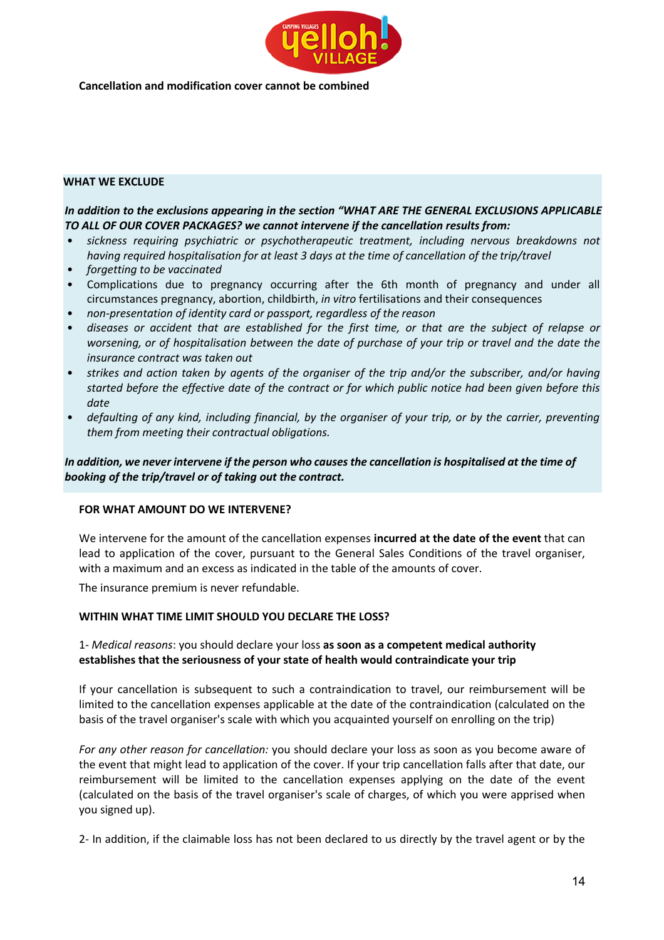

**Cancellation and modification cover cannot be combined**

# **WHAT WE EXCLUDE**

# *In addition to the exclusions appearing in the section "WHAT ARE THE GENERAL EXCLUSIONS APPLICABLE TO ALL OF OUR COVER PACKAGES? we cannot intervene if the cancellation results from:*

- *sickness requiring psychiatric or psychotherapeutic treatment, including nervous breakdowns not having required hospitalisation for at least 3 days at the time of cancellation of the trip/travel*
- *forgetting to be vaccinated*
- Complications due to pregnancy occurring after the 6th month of pregnancy and under all circumstances pregnancy, abortion, childbirth, *in vitro* fertilisations and their consequences
- *non-presentation of identity card or passport, regardless of the reason*
- diseases or accident that are established for the first time, or that are the subject of relapse or *worsening, or of hospitalisation between the date of purchase of your trip or travel and the date the insurance contract was taken out*
- *strikes and action taken by agents of the organiser of the trip and/or the subscriber, and/or having started before the effective date of the contract or for which public notice had been given before this date*
- *defaulting of any kind, including financial, by the organiser of your trip, or by the carrier, preventing them from meeting their contractual obligations.*

*In addition, we never intervene if the person who causesthe cancellation is hospitalised at the time of booking of the trip/travel or of taking out the contract.*

#### **FOR WHAT AMOUNT DO WE INTERVENE?**

We intervene for the amount of the cancellation expenses **incurred at the date of the event** that can lead to application of the cover, pursuant to the General Sales Conditions of the travel organiser, with a maximum and an excess as indicated in the table of the amounts of cover.

The insurance premium is never refundable.

# **WITHIN WHAT TIME LIMIT SHOULD YOU DECLARE THE LOSS?**

# 1- *Medical reasons*: you should declare your loss **as soon as a competent medical authority establishes that the seriousness of your state of health would contraindicate your trip**

If your cancellation is subsequent to such a contraindication to travel, our reimbursement will be limited to the cancellation expenses applicable at the date of the contraindication (calculated on the basis of the travel organiser's scale with which you acquainted yourself on enrolling on the trip)

*For any other reason for cancellation:* you should declare your loss as soon as you become aware of the event that might lead to application of the cover. If your trip cancellation falls after that date, our reimbursement will be limited to the cancellation expenses applying on the date of the event (calculated on the basis of the travel organiser's scale of charges, of which you were apprised when you signed up).

2- In addition, if the claimable loss has not been declared to us directly by the travel agent or by the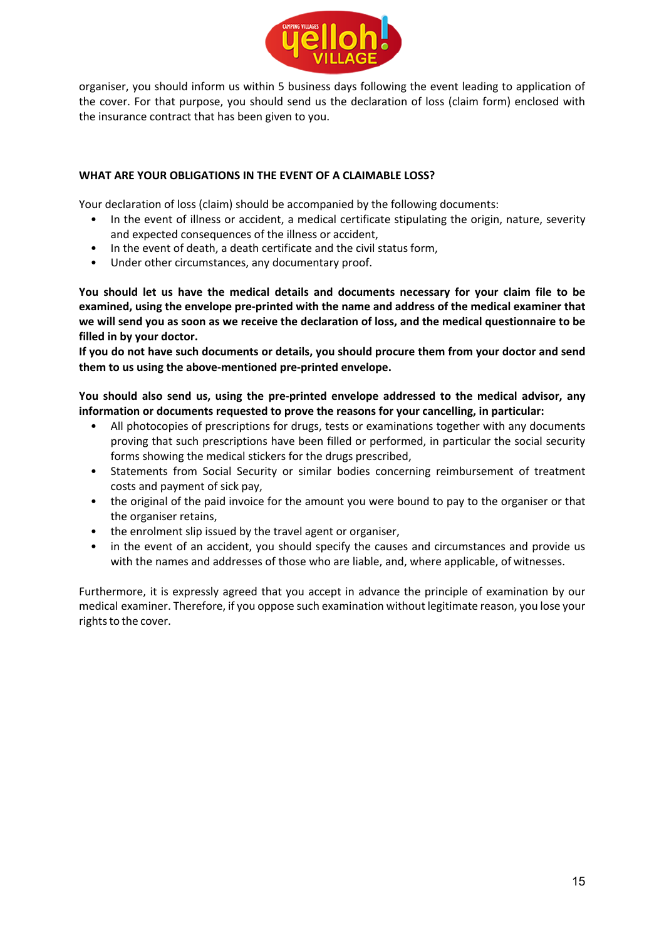

organiser, you should inform us within 5 business days following the event leading to application of the cover. For that purpose, you should send us the declaration of loss (claim form) enclosed with the insurance contract that has been given to you.

# **WHAT ARE YOUR OBLIGATIONS IN THE EVENT OF A CLAIMABLE LOSS?**

Your declaration of loss (claim) should be accompanied by the following documents:

- In the event of illness or accident, a medical certificate stipulating the origin, nature, severity and expected consequences of the illness or accident,
- In the event of death, a death certificate and the civil status form,
- Under other circumstances, any documentary proof.

**You should let us have the medical details and documents necessary for your claim file to be examined, using the envelope pre-printed with the name and address of the medical examiner that we will send you as soon as we receive the declaration of loss, and the medical questionnaire to be filled in by your doctor.**

**If you do not have such documents or details, you should procure them from your doctor and send them to us using the above-mentioned pre-printed envelope.**

**You should also send us, using the pre-printed envelope addressed to the medical advisor, any information or documents requested to prove the reasons for your cancelling, in particular:**

- All photocopies of prescriptions for drugs, tests or examinations together with any documents proving that such prescriptions have been filled or performed, in particular the social security forms showing the medical stickers for the drugs prescribed,
- Statements from Social Security or similar bodies concerning reimbursement of treatment costs and payment of sick pay,
- the original of the paid invoice for the amount you were bound to pay to the organiser or that the organiser retains,
- the enrolment slip issued by the travel agent or organiser,
- in the event of an accident, you should specify the causes and circumstances and provide us with the names and addresses of those who are liable, and, where applicable, of witnesses.

Furthermore, it is expressly agreed that you accept in advance the principle of examination by our medical examiner. Therefore, if you oppose such examination without legitimate reason, you lose your rights to the cover.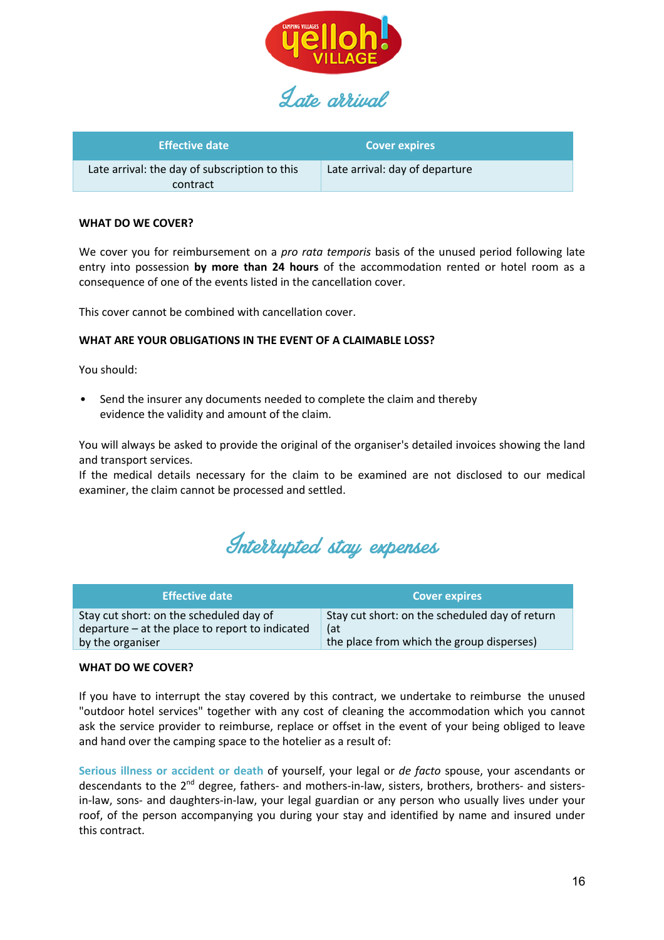

Anto arrival

| <b>Effective date</b>                                     | <b>Cover expires</b>           |
|-----------------------------------------------------------|--------------------------------|
| Late arrival: the day of subscription to this<br>contract | Late arrival: day of departure |

#### **WHAT DO WE COVER?**

We cover you for reimbursement on a *pro rata temporis* basis of the unused period following late entry into possession **by more than 24 hours** of the accommodation rented or hotel room as a consequence of one of the events listed in the cancellation cover.

This cover cannot be combined with cancellation cover.

#### **WHAT ARE YOUR OBLIGATIONS IN THE EVENT OF A CLAIMABLE LOSS?**

You should:

• Send the insurer any documents needed to complete the claim and thereby evidence the validity and amount of the claim.

You will always be asked to provide the original of the organiser's detailed invoices showing the land and transport services.

If the medical details necessary for the claim to be examined are not disclosed to our medical examiner, the claim cannot be processed and settled.

Interrupted stay expenses

| <b>Effective date '</b>                                                                      | <b>Cover expires</b>                                  |
|----------------------------------------------------------------------------------------------|-------------------------------------------------------|
| Stay cut short: on the scheduled day of<br>$departure - at the place to report to indicated$ | Stay cut short: on the scheduled day of return<br>(at |
| by the organiser                                                                             | the place from which the group disperses)             |

#### **WHAT DO WE COVER?**

If you have to interrupt the stay covered by this contract, we undertake to reimburse the unused "outdoor hotel services" together with any cost of cleaning the accommodation which you cannot ask the service provider to reimburse, replace or offset in the event of your being obliged to leave and hand over the camping space to the hotelier as a result of:

**Serious illness or accident or death** of yourself, your legal or *de facto* spouse, your ascendants or descendants to the 2nd degree, fathers- and mothers-in-law, sisters, brothers, brothers- and sistersin-law, sons- and daughters-in-law, your legal guardian or any person who usually lives under your roof, of the person accompanying you during your stay and identified by name and insured under this contract.